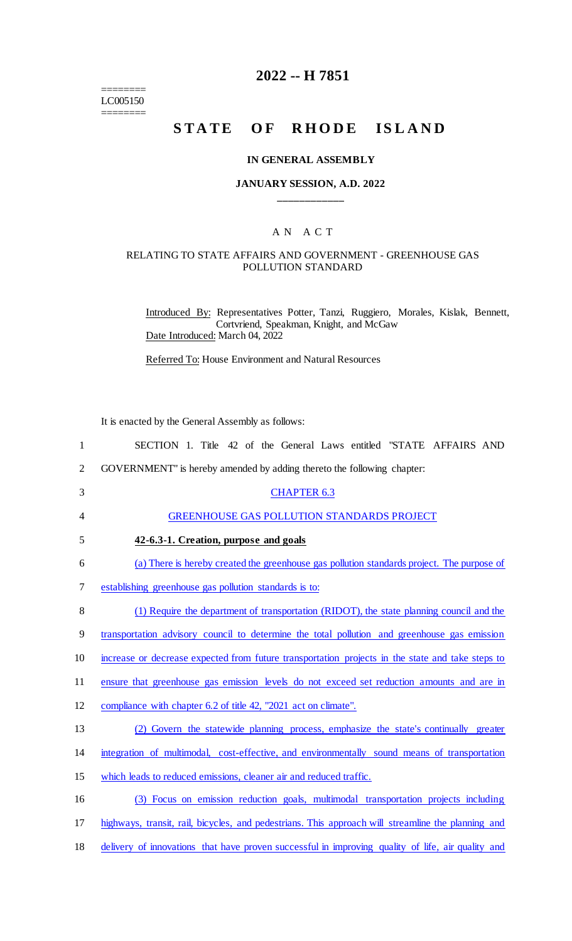======== LC005150

 $=$ 

## **2022 -- H 7851**

# **STATE OF RHODE ISLAND**

#### **IN GENERAL ASSEMBLY**

### **JANUARY SESSION, A.D. 2022 \_\_\_\_\_\_\_\_\_\_\_\_**

### A N A C T

#### RELATING TO STATE AFFAIRS AND GOVERNMENT - GREENHOUSE GAS POLLUTION STANDARD

Introduced By: Representatives Potter, Tanzi, Ruggiero, Morales, Kislak, Bennett, Cortvriend, Speakman, Knight, and McGaw Date Introduced: March 04, 2022

Referred To: House Environment and Natural Resources

It is enacted by the General Assembly as follows:

| $\mathbf{1}$   | SECTION 1. Title 42 of the General Laws entitled "STATE AFFAIRS AND                                |
|----------------|----------------------------------------------------------------------------------------------------|
| $\overline{2}$ | GOVERNMENT" is hereby amended by adding thereto the following chapter:                             |
| 3              | <b>CHAPTER 6.3</b>                                                                                 |
| 4              | <b>GREENHOUSE GAS POLLUTION STANDARDS PROJECT</b>                                                  |
| 5              | 42-6.3-1. Creation, purpose and goals                                                              |
| 6              | (a) There is hereby created the greenhouse gas pollution standards project. The purpose of         |
| 7              | establishing greenhouse gas pollution standards is to:                                             |
| 8              | (1) Require the department of transportation (RIDOT), the state planning council and the           |
| 9              | transportation advisory council to determine the total pollution and greenhouse gas emission       |
| 10             | increase or decrease expected from future transportation projects in the state and take steps to   |
| 11             | ensure that greenhouse gas emission levels do not exceed set reduction amounts and are in          |
| 12             | compliance with chapter 6.2 of title 42, "2021 act on climate".                                    |
| 13             | (2) Govern the statewide planning process, emphasize the state's continually greater               |
| 14             | integration of multimodal, cost-effective, and environmentally sound means of transportation       |
| 15             | which leads to reduced emissions, cleaner air and reduced traffic.                                 |
| 16             | (3) Focus on emission reduction goals, multimodal transportation projects including                |
| 17             | highways, transit, rail, bicycles, and pedestrians. This approach will streamline the planning and |
|                |                                                                                                    |

18 delivery of innovations that have proven successful in improving quality of life, air quality and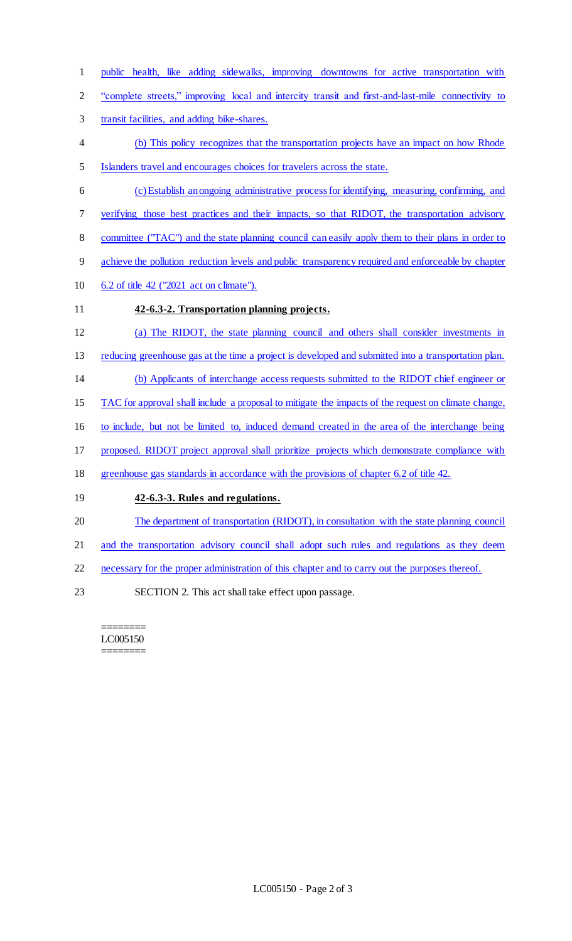- public health, like adding sidewalks, improving downtowns for active transportation with
- "complete streets," improving local and intercity transit and first-and-last-mile connectivity to
- transit facilities, and adding bike-shares.
- (b) This policy recognizes that the transportation projects have an impact on how Rhode Islanders travel and encourages choices for travelers across the state.
- (c) Establish an ongoing administrative process for identifying, measuring, confirming, and
- 7 verifying those best practices and their impacts, so that RIDOT, the transportation advisory
- 8 committee ("TAC") and the state planning council can easily apply them to their plans in order to
- achieve the pollution reduction levels and public transparency required and enforceable by chapter
- 6.2 of title 42 ("2021 act on climate").
- 

### **42-6.3-2. Transportation planning projects.**

- (a) The RIDOT, the state planning council and others shall consider investments in
- reducing greenhouse gas at the time a project is developed and submitted into a transportation plan.
- (b) Applicants of interchange access requests submitted to the RIDOT chief engineer or
- TAC for approval shall include a proposal to mitigate the impacts of the request on climate change,
- to include, but not be limited to, induced demand created in the area of the interchange being
- proposed. RIDOT project approval shall prioritize projects which demonstrate compliance with
- greenhouse gas standards in accordance with the provisions of chapter 6.2 of title 42.

### **42-6.3-3. Rules and regulations.**

- The department of transportation (RIDOT), in consultation with the state planning council
- and the transportation advisory council shall adopt such rules and regulations as they deem
- necessary for the proper administration of this chapter and to carry out the purposes thereof.
- SECTION 2. This act shall take effect upon passage.

#### ======== LC005150 ========